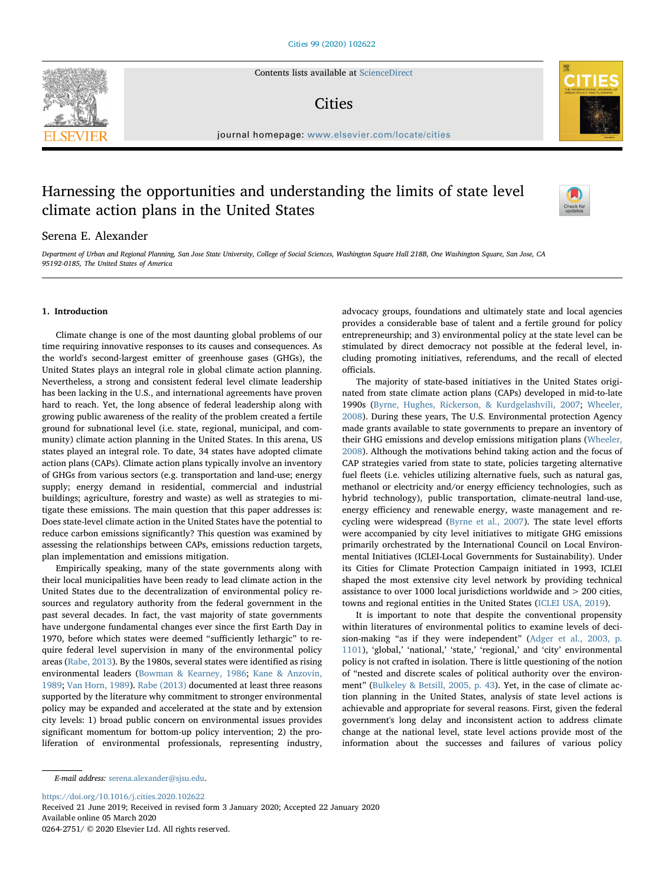Contents lists available at [ScienceDirect](http://www.sciencedirect.com/science/journal/02642751)

## **Cities**

journal homepage: [www.elsevier.com/locate/cities](https://www.elsevier.com/locate/cities)

# Harnessing the opportunities and understanding the limits of state level climate action plans in the United States



Department of Urban and Regional Planning, San Jose State University, College of Social Sciences, Washington Square Hall 218B, One Washington Square, San Jose, CA 95192-0185, The United States of America

#### 1. Introduction

Climate change is one of the most daunting global problems of our time requiring innovative responses to its causes and consequences. As the world's second-largest emitter of greenhouse gases (GHGs), the United States plays an integral role in global climate action planning. Nevertheless, a strong and consistent federal level climate leadership has been lacking in the U.S., and international agreements have proven hard to reach. Yet, the long absence of federal leadership along with growing public awareness of the reality of the problem created a fertile ground for subnational level (i.e. state, regional, municipal, and community) climate action planning in the United States. In this arena, US states played an integral role. To date, 34 states have adopted climate action plans (CAPs). Climate action plans typically involve an inventory of GHGs from various sectors (e.g. transportation and land-use; energy supply; energy demand in residential, commercial and industrial buildings; agriculture, forestry and waste) as well as strategies to mitigate these emissions. The main question that this paper addresses is: Does state-level climate action in the United States have the potential to reduce carbon emissions significantly? This question was examined by assessing the relationships between CAPs, emissions reduction targets, plan implementation and emissions mitigation.

Empirically speaking, many of the state governments along with their local municipalities have been ready to lead climate action in the United States due to the decentralization of environmental policy resources and regulatory authority from the federal government in the past several decades. In fact, the vast majority of state governments have undergone fundamental changes ever since the first Earth Day in 1970, before which states were deemed "sufficiently lethargic" to require federal level supervision in many of the environmental policy areas ([Rabe, 2013](#page-9-0)). By the 1980s, several states were identified as rising environmental leaders [\(Bowman & Kearney, 1986;](#page-9-1) [Kane & Anzovin,](#page-9-2) [1989;](#page-9-2) [Van Horn, 1989](#page-10-0)). [Rabe \(2013\)](#page-9-0) documented at least three reasons supported by the literature why commitment to stronger environmental policy may be expanded and accelerated at the state and by extension city levels: 1) broad public concern on environmental issues provides significant momentum for bottom-up policy intervention; 2) the proliferation of environmental professionals, representing industry, advocacy groups, foundations and ultimately state and local agencies provides a considerable base of talent and a fertile ground for policy entrepreneurship; and 3) environmental policy at the state level can be stimulated by direct democracy not possible at the federal level, including promoting initiatives, referendums, and the recall of elected officials.

The majority of state-based initiatives in the United States originated from state climate action plans (CAPs) developed in mid-to-late 1990s ([Byrne, Hughes, Rickerson, & Kurdgelashvili, 2007;](#page-9-3) [Wheeler,](#page-10-1) [2008\)](#page-10-1). During these years, The U.S. Environmental protection Agency made grants available to state governments to prepare an inventory of their GHG emissions and develop emissions mitigation plans [\(Wheeler,](#page-10-1) [2008\)](#page-10-1). Although the motivations behind taking action and the focus of CAP strategies varied from state to state, policies targeting alternative fuel fleets (i.e. vehicles utilizing alternative fuels, such as natural gas, methanol or electricity and/or energy efficiency technologies, such as hybrid technology), public transportation, climate-neutral land-use, energy efficiency and renewable energy, waste management and recycling were widespread ([Byrne et al., 2007](#page-9-3)). The state level efforts were accompanied by city level initiatives to mitigate GHG emissions primarily orchestrated by the International Council on Local Environmental Initiatives (ICLEI-Local Governments for Sustainability). Under its Cities for Climate Protection Campaign initiated in 1993, ICLEI shaped the most extensive city level network by providing technical assistance to over 1000 local jurisdictions worldwide and > 200 cities, towns and regional entities in the United States [\(ICLEI USA, 2019\)](#page-9-4).

It is important to note that despite the conventional propensity within literatures of environmental politics to examine levels of decision-making "as if they were independent" ([Adger et al., 2003, p.](#page-9-5) [1101\)](#page-9-5), 'global,' 'national,' 'state,' 'regional,' and 'city' environmental policy is not crafted in isolation. There is little questioning of the notion of "nested and discrete scales of political authority over the environment" ([Bulkeley & Betsill, 2005, p. 43](#page-9-6)). Yet, in the case of climate action planning in the United States, analysis of state level actions is achievable and appropriate for several reasons. First, given the federal government's long delay and inconsistent action to address climate change at the national level, state level actions provide most of the information about the successes and failures of various policy

<https://doi.org/10.1016/j.cities.2020.102622>

0264-2751/ © 2020 Elsevier Ltd. All rights reserved.





 $\frac{N}{2}$ 

E-mail address: [serena.alexander@sjsu.edu](mailto:serena.alexander@sjsu.edu).

Received 21 June 2019; Received in revised form 3 January 2020; Accepted 22 January 2020 Available online 05 March 2020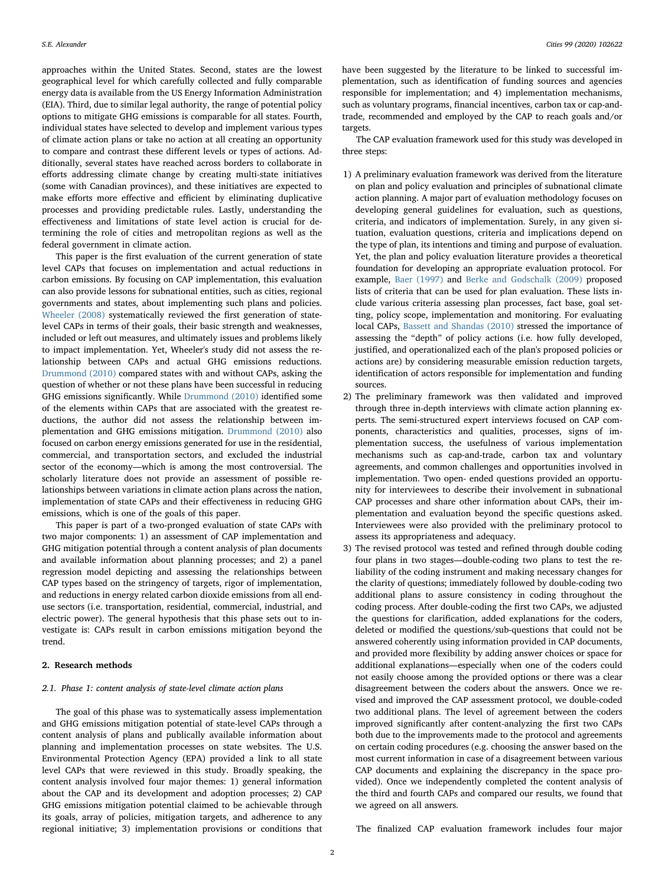approaches within the United States. Second, states are the lowest geographical level for which carefully collected and fully comparable energy data is available from the US Energy Information Administration (EIA). Third, due to similar legal authority, the range of potential policy options to mitigate GHG emissions is comparable for all states. Fourth, individual states have selected to develop and implement various types of climate action plans or take no action at all creating an opportunity to compare and contrast these different levels or types of actions. Additionally, several states have reached across borders to collaborate in efforts addressing climate change by creating multi-state initiatives (some with Canadian provinces), and these initiatives are expected to make efforts more effective and efficient by eliminating duplicative processes and providing predictable rules. Lastly, understanding the effectiveness and limitations of state level action is crucial for determining the role of cities and metropolitan regions as well as the federal government in climate action.

This paper is the first evaluation of the current generation of state level CAPs that focuses on implementation and actual reductions in carbon emissions. By focusing on CAP implementation, this evaluation can also provide lessons for subnational entities, such as cities, regional governments and states, about implementing such plans and policies. [Wheeler \(2008\)](#page-10-1) systematically reviewed the first generation of statelevel CAPs in terms of their goals, their basic strength and weaknesses, included or left out measures, and ultimately issues and problems likely to impact implementation. Yet, Wheeler's study did not assess the relationship between CAPs and actual GHG emissions reductions. [Drummond \(2010\)](#page-9-7) compared states with and without CAPs, asking the question of whether or not these plans have been successful in reducing GHG emissions significantly. While [Drummond \(2010\)](#page-9-7) identified some of the elements within CAPs that are associated with the greatest reductions, the author did not assess the relationship between implementation and GHG emissions mitigation. [Drummond \(2010\)](#page-9-7) also focused on carbon energy emissions generated for use in the residential, commercial, and transportation sectors, and excluded the industrial sector of the economy—which is among the most controversial. The scholarly literature does not provide an assessment of possible relationships between variations in climate action plans across the nation, implementation of state CAPs and their effectiveness in reducing GHG emissions, which is one of the goals of this paper.

This paper is part of a two-pronged evaluation of state CAPs with two major components: 1) an assessment of CAP implementation and GHG mitigation potential through a content analysis of plan documents and available information about planning processes; and 2) a panel regression model depicting and assessing the relationships between CAP types based on the stringency of targets, rigor of implementation, and reductions in energy related carbon dioxide emissions from all enduse sectors (i.e. transportation, residential, commercial, industrial, and electric power). The general hypothesis that this phase sets out to investigate is: CAPs result in carbon emissions mitigation beyond the trend.

## 2. Research methods

## 2.1. Phase 1: content analysis of state-level climate action plans

The goal of this phase was to systematically assess implementation and GHG emissions mitigation potential of state-level CAPs through a content analysis of plans and publically available information about planning and implementation processes on state websites. The U.S. Environmental Protection Agency (EPA) provided a link to all state level CAPs that were reviewed in this study. Broadly speaking, the content analysis involved four major themes: 1) general information about the CAP and its development and adoption processes; 2) CAP GHG emissions mitigation potential claimed to be achievable through its goals, array of policies, mitigation targets, and adherence to any regional initiative; 3) implementation provisions or conditions that have been suggested by the literature to be linked to successful implementation, such as identification of funding sources and agencies responsible for implementation; and 4) implementation mechanisms, such as voluntary programs, financial incentives, carbon tax or cap-andtrade, recommended and employed by the CAP to reach goals and/or targets.

The CAP evaluation framework used for this study was developed in three steps:

- 1) A preliminary evaluation framework was derived from the literature on plan and policy evaluation and principles of subnational climate action planning. A major part of evaluation methodology focuses on developing general guidelines for evaluation, such as questions, criteria, and indicators of implementation. Surely, in any given situation, evaluation questions, criteria and implications depend on the type of plan, its intentions and timing and purpose of evaluation. Yet, the plan and policy evaluation literature provides a theoretical foundation for developing an appropriate evaluation protocol. For example, [Baer \(1997\)](#page-9-8) and [Berke and Godschalk \(2009\)](#page-9-9) proposed lists of criteria that can be used for plan evaluation. These lists include various criteria assessing plan processes, fact base, goal setting, policy scope, implementation and monitoring. For evaluating local CAPs, [Bassett and Shandas \(2010\)](#page-9-10) stressed the importance of assessing the "depth" of policy actions (i.e. how fully developed, justified, and operationalized each of the plan's proposed policies or actions are) by considering measurable emission reduction targets, identification of actors responsible for implementation and funding sources.
- 2) The preliminary framework was then validated and improved through three in-depth interviews with climate action planning experts. The semi-structured expert interviews focused on CAP components, characteristics and qualities, processes, signs of implementation success, the usefulness of various implementation mechanisms such as cap-and-trade, carbon tax and voluntary agreements, and common challenges and opportunities involved in implementation. Two open- ended questions provided an opportunity for interviewees to describe their involvement in subnational CAP processes and share other information about CAPs, their implementation and evaluation beyond the specific questions asked. Interviewees were also provided with the preliminary protocol to assess its appropriateness and adequacy.
- 3) The revised protocol was tested and refined through double coding four plans in two stages—double-coding two plans to test the reliability of the coding instrument and making necessary changes for the clarity of questions; immediately followed by double-coding two additional plans to assure consistency in coding throughout the coding process. After double-coding the first two CAPs, we adjusted the questions for clarification, added explanations for the coders, deleted or modified the questions/sub-questions that could not be answered coherently using information provided in CAP documents, and provided more flexibility by adding answer choices or space for additional explanations—especially when one of the coders could not easily choose among the provided options or there was a clear disagreement between the coders about the answers. Once we revised and improved the CAP assessment protocol, we double-coded two additional plans. The level of agreement between the coders improved significantly after content-analyzing the first two CAPs both due to the improvements made to the protocol and agreements on certain coding procedures (e.g. choosing the answer based on the most current information in case of a disagreement between various CAP documents and explaining the discrepancy in the space provided). Once we independently completed the content analysis of the third and fourth CAPs and compared our results, we found that we agreed on all answers.

The finalized CAP evaluation framework includes four major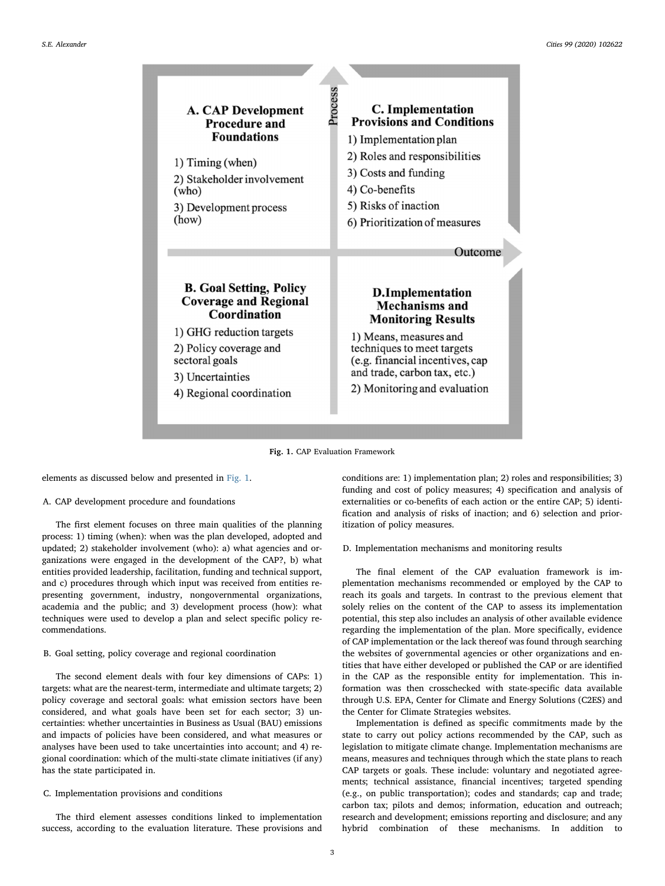<span id="page-2-0"></span>

| Process<br>A. CAP Development<br><b>Procedure and</b><br><b>Foundations</b><br>1) Timing (when)<br>2) Stakeholder involvement<br>(who)<br>3) Development process<br>(how)                              | C. Implementation<br><b>Provisions and Conditions</b><br>1) Implementation plan<br>2) Roles and responsibilities<br>3) Costs and funding<br>4) Co-benefits<br>5) Risks of inaction<br>6) Prioritization of measures                      |
|--------------------------------------------------------------------------------------------------------------------------------------------------------------------------------------------------------|------------------------------------------------------------------------------------------------------------------------------------------------------------------------------------------------------------------------------------------|
|                                                                                                                                                                                                        | Outcome                                                                                                                                                                                                                                  |
| <b>B. Goal Setting, Policy</b><br><b>Coverage and Regional</b><br>Coordination<br>1) GHG reduction targets<br>2) Policy coverage and<br>sectoral goals<br>3) Uncertainties<br>4) Regional coordination | <b>D.Implementation</b><br><b>Mechanisms</b> and<br><b>Monitoring Results</b><br>1) Means, measures and<br>techniques to meet targets<br>(e.g. financial incentives, cap<br>and trade, carbon tax, etc.)<br>2) Monitoring and evaluation |

Fig. 1. CAP Evaluation Framework

elements as discussed below and presented in [Fig. 1.](#page-2-0)

A. CAP development procedure and foundations

The first element focuses on three main qualities of the planning process: 1) timing (when): when was the plan developed, adopted and updated; 2) stakeholder involvement (who): a) what agencies and organizations were engaged in the development of the CAP?, b) what entities provided leadership, facilitation, funding and technical support, and c) procedures through which input was received from entities representing government, industry, nongovernmental organizations, academia and the public; and 3) development process (how): what techniques were used to develop a plan and select specific policy recommendations.

## B. Goal setting, policy coverage and regional coordination

The second element deals with four key dimensions of CAPs: 1) targets: what are the nearest-term, intermediate and ultimate targets; 2) policy coverage and sectoral goals: what emission sectors have been considered, and what goals have been set for each sector; 3) uncertainties: whether uncertainties in Business as Usual (BAU) emissions and impacts of policies have been considered, and what measures or analyses have been used to take uncertainties into account; and 4) regional coordination: which of the multi-state climate initiatives (if any) has the state participated in.

#### C. Implementation provisions and conditions

The third element assesses conditions linked to implementation success, according to the evaluation literature. These provisions and conditions are: 1) implementation plan; 2) roles and responsibilities; 3) funding and cost of policy measures; 4) specification and analysis of externalities or co-benefits of each action or the entire CAP; 5) identification and analysis of risks of inaction; and 6) selection and prioritization of policy measures.

#### D. Implementation mechanisms and monitoring results

The final element of the CAP evaluation framework is implementation mechanisms recommended or employed by the CAP to reach its goals and targets. In contrast to the previous element that solely relies on the content of the CAP to assess its implementation potential, this step also includes an analysis of other available evidence regarding the implementation of the plan. More specifically, evidence of CAP implementation or the lack thereof was found through searching the websites of governmental agencies or other organizations and entities that have either developed or published the CAP or are identified in the CAP as the responsible entity for implementation. This information was then crosschecked with state-specific data available through U.S. EPA, Center for Climate and Energy Solutions (C2ES) and the Center for Climate Strategies websites.

Implementation is defined as specific commitments made by the state to carry out policy actions recommended by the CAP, such as legislation to mitigate climate change. Implementation mechanisms are means, measures and techniques through which the state plans to reach CAP targets or goals. These include: voluntary and negotiated agreements; technical assistance, financial incentives; targeted spending (e.g., on public transportation); codes and standards; cap and trade; carbon tax; pilots and demos; information, education and outreach; research and development; emissions reporting and disclosure; and any hybrid combination of these mechanisms. In addition to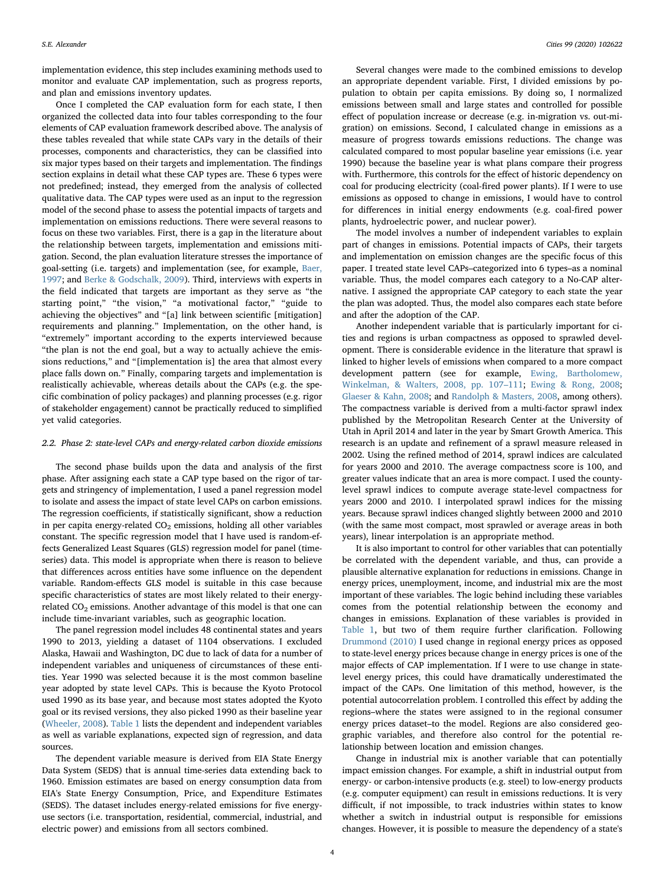implementation evidence, this step includes examining methods used to monitor and evaluate CAP implementation, such as progress reports, and plan and emissions inventory updates.

Once I completed the CAP evaluation form for each state, I then organized the collected data into four tables corresponding to the four elements of CAP evaluation framework described above. The analysis of these tables revealed that while state CAPs vary in the details of their processes, components and characteristics, they can be classified into six major types based on their targets and implementation. The findings section explains in detail what these CAP types are. These 6 types were not predefined; instead, they emerged from the analysis of collected qualitative data. The CAP types were used as an input to the regression model of the second phase to assess the potential impacts of targets and implementation on emissions reductions. There were several reasons to focus on these two variables. First, there is a gap in the literature about the relationship between targets, implementation and emissions mitigation. Second, the plan evaluation literature stresses the importance of goal-setting (i.e. targets) and implementation (see, for example, [Baer,](#page-9-8) [1997;](#page-9-8) and [Berke & Godschalk, 2009](#page-9-9)). Third, interviews with experts in the field indicated that targets are important as they serve as "the starting point," "the vision," "a motivational factor," "guide to achieving the objectives" and "[a] link between scientific [mitigation] requirements and planning." Implementation, on the other hand, is "extremely" important according to the experts interviewed because "the plan is not the end goal, but a way to actually achieve the emissions reductions," and "[implementation is] the area that almost every place falls down on." Finally, comparing targets and implementation is realistically achievable, whereas details about the CAPs (e.g. the specific combination of policy packages) and planning processes (e.g. rigor of stakeholder engagement) cannot be practically reduced to simplified yet valid categories.

## 2.2. Phase 2: state-level CAPs and energy-related carbon dioxide emissions

The second phase builds upon the data and analysis of the first phase. After assigning each state a CAP type based on the rigor of targets and stringency of implementation, I used a panel regression model to isolate and assess the impact of state level CAPs on carbon emissions. The regression coefficients, if statistically significant, show a reduction in per capita energy-related  $CO<sub>2</sub>$  emissions, holding all other variables constant. The specific regression model that I have used is random-effects Generalized Least Squares (GLS) regression model for panel (timeseries) data. This model is appropriate when there is reason to believe that differences across entities have some influence on the dependent variable. Random-effects GLS model is suitable in this case because specific characteristics of states are most likely related to their energyrelated  $CO<sub>2</sub>$  emissions. Another advantage of this model is that one can include time-invariant variables, such as geographic location.

The panel regression model includes 48 continental states and years 1990 to 2013, yielding a dataset of 1104 observations. I excluded Alaska, Hawaii and Washington, DC due to lack of data for a number of independent variables and uniqueness of circumstances of these entities. Year 1990 was selected because it is the most common baseline year adopted by state level CAPs. This is because the Kyoto Protocol used 1990 as its base year, and because most states adopted the Kyoto goal or its revised versions, they also picked 1990 as their baseline year ([Wheeler, 2008](#page-10-1)). [Table 1](#page-4-0) lists the dependent and independent variables as well as variable explanations, expected sign of regression, and data sources.

The dependent variable measure is derived from EIA State Energy Data System (SEDS) that is annual time-series data extending back to 1960. Emission estimates are based on energy consumption data from EIA's State Energy Consumption, Price, and Expenditure Estimates (SEDS). The dataset includes energy-related emissions for five energyuse sectors (i.e. transportation, residential, commercial, industrial, and electric power) and emissions from all sectors combined.

Several changes were made to the combined emissions to develop an appropriate dependent variable. First, I divided emissions by population to obtain per capita emissions. By doing so, I normalized emissions between small and large states and controlled for possible effect of population increase or decrease (e.g. in-migration vs. out-migration) on emissions. Second, I calculated change in emissions as a measure of progress towards emissions reductions. The change was calculated compared to most popular baseline year emissions (i.e. year 1990) because the baseline year is what plans compare their progress with. Furthermore, this controls for the effect of historic dependency on coal for producing electricity (coal-fired power plants). If I were to use emissions as opposed to change in emissions, I would have to control for differences in initial energy endowments (e.g. coal-fired power plants, hydroelectric power, and nuclear power).

The model involves a number of independent variables to explain part of changes in emissions. Potential impacts of CAPs, their targets and implementation on emission changes are the specific focus of this paper. I treated state level CAPs–categorized into 6 types–as a nominal variable. Thus, the model compares each category to a No-CAP alternative. I assigned the appropriate CAP category to each state the year the plan was adopted. Thus, the model also compares each state before and after the adoption of the CAP.

Another independent variable that is particularly important for cities and regions is urban compactness as opposed to sprawled development. There is considerable evidence in the literature that sprawl is linked to higher levels of emissions when compared to a more compact development pattern (see for example, [Ewing, Bartholomew,](#page-9-11) [Winkelman, & Walters, 2008, pp. 107](#page-9-11)–111; [Ewing & Rong, 2008](#page-9-12); [Glaeser & Kahn, 2008](#page-9-13); and [Randolph & Masters, 2008](#page-10-2), among others). The compactness variable is derived from a multi-factor sprawl index published by the Metropolitan Research Center at the University of Utah in April 2014 and later in the year by Smart Growth America. This research is an update and refinement of a sprawl measure released in 2002. Using the refined method of 2014, sprawl indices are calculated for years 2000 and 2010. The average compactness score is 100, and greater values indicate that an area is more compact. I used the countylevel sprawl indices to compute average state-level compactness for years 2000 and 2010. I interpolated sprawl indices for the missing years. Because sprawl indices changed slightly between 2000 and 2010 (with the same most compact, most sprawled or average areas in both years), linear interpolation is an appropriate method.

It is also important to control for other variables that can potentially be correlated with the dependent variable, and thus, can provide a plausible alternative explanation for reductions in emissions. Change in energy prices, unemployment, income, and industrial mix are the most important of these variables. The logic behind including these variables comes from the potential relationship between the economy and changes in emissions. Explanation of these variables is provided in [Table 1,](#page-4-0) but two of them require further clarification. Following [Drummond \(2010\)](#page-9-7) I used change in regional energy prices as opposed to state-level energy prices because change in energy prices is one of the major effects of CAP implementation. If I were to use change in statelevel energy prices, this could have dramatically underestimated the impact of the CAPs. One limitation of this method, however, is the potential autocorrelation problem. I controlled this effect by adding the regions–where the states were assigned to in the regional consumer energy prices dataset–to the model. Regions are also considered geographic variables, and therefore also control for the potential relationship between location and emission changes.

Change in industrial mix is another variable that can potentially impact emission changes. For example, a shift in industrial output from energy- or carbon-intensive products (e.g. steel) to low-energy products (e.g. computer equipment) can result in emissions reductions. It is very difficult, if not impossible, to track industries within states to know whether a switch in industrial output is responsible for emissions changes. However, it is possible to measure the dependency of a state's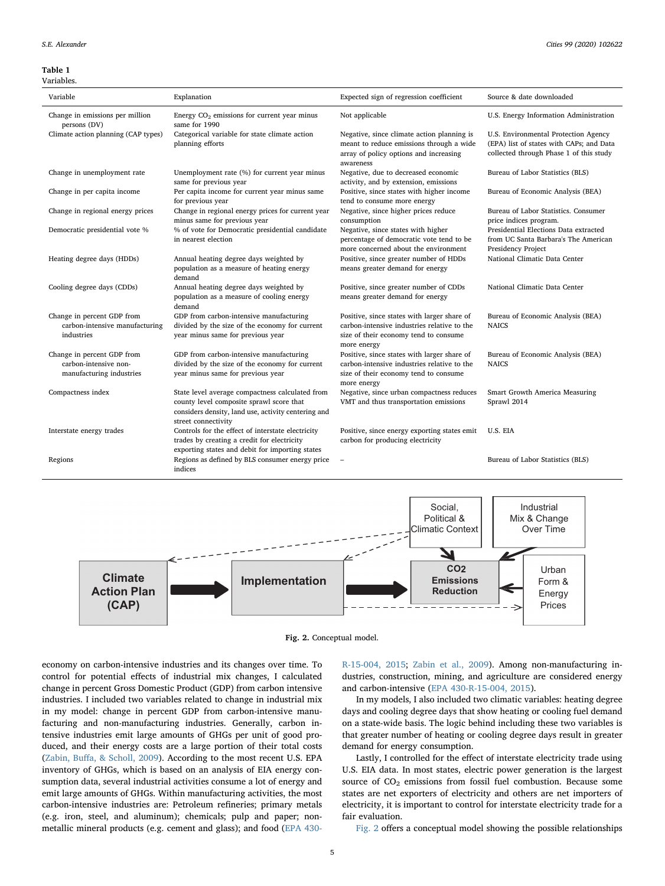<span id="page-4-0"></span>

| Variables.                                                                      |                                                                                                                                                                           |                                                                                                                                                    |                                                                                                                             |
|---------------------------------------------------------------------------------|---------------------------------------------------------------------------------------------------------------------------------------------------------------------------|----------------------------------------------------------------------------------------------------------------------------------------------------|-----------------------------------------------------------------------------------------------------------------------------|
| Variable                                                                        | Explanation                                                                                                                                                               | Expected sign of regression coefficient                                                                                                            | Source & date downloaded                                                                                                    |
| Change in emissions per million<br>persons (DV)                                 | Energy $CO2$ emissions for current year minus<br>same for 1990                                                                                                            | Not applicable                                                                                                                                     | U.S. Energy Information Administration                                                                                      |
| Climate action planning (CAP types)                                             | Categorical variable for state climate action<br>planning efforts                                                                                                         | Negative, since climate action planning is<br>meant to reduce emissions through a wide<br>array of policy options and increasing<br>awareness      | U.S. Environmental Protection Agency<br>(EPA) list of states with CAPs; and Data<br>collected through Phase 1 of this study |
| Change in unemployment rate                                                     | Unemployment rate (%) for current year minus<br>same for previous year                                                                                                    | Negative, due to decreased economic<br>activity, and by extension, emissions                                                                       | Bureau of Labor Statistics (BLS)                                                                                            |
| Change in per capita income                                                     | Per capita income for current year minus same<br>for previous year                                                                                                        | Positive, since states with higher income<br>tend to consume more energy                                                                           | Bureau of Economic Analysis (BEA)                                                                                           |
| Change in regional energy prices                                                | Change in regional energy prices for current year<br>minus same for previous year                                                                                         | Negative, since higher prices reduce<br>consumption                                                                                                | Bureau of Labor Statistics. Consumer<br>price indices program.                                                              |
| Democratic presidential vote %                                                  | % of vote for Democratic presidential candidate<br>in nearest election                                                                                                    | Negative, since states with higher<br>percentage of democratic vote tend to be<br>more concerned about the environment                             | Presidential Elections Data extracted<br>from UC Santa Barbara's The American<br>Presidency Project                         |
| Heating degree days (HDDs)                                                      | Annual heating degree days weighted by<br>population as a measure of heating energy<br>demand                                                                             | Positive, since greater number of HDDs<br>means greater demand for energy                                                                          | National Climatic Data Center                                                                                               |
| Cooling degree days (CDDs)                                                      | Annual heating degree days weighted by<br>population as a measure of cooling energy<br>demand                                                                             | Positive, since greater number of CDDs<br>means greater demand for energy                                                                          | National Climatic Data Center                                                                                               |
| Change in percent GDP from<br>carbon-intensive manufacturing<br>industries      | GDP from carbon-intensive manufacturing<br>divided by the size of the economy for current<br>year minus same for previous year                                            | Positive, since states with larger share of<br>carbon-intensive industries relative to the<br>size of their economy tend to consume<br>more energy | Bureau of Economic Analysis (BEA)<br><b>NAICS</b>                                                                           |
| Change in percent GDP from<br>carbon-intensive non-<br>manufacturing industries | GDP from carbon-intensive manufacturing<br>divided by the size of the economy for current<br>year minus same for previous year                                            | Positive, since states with larger share of<br>carbon-intensive industries relative to the<br>size of their economy tend to consume<br>more energy | Bureau of Economic Analysis (BEA)<br><b>NAICS</b>                                                                           |
| Compactness index                                                               | State level average compactness calculated from<br>county level composite sprawl score that<br>considers density, land use, activity centering and<br>street connectivity | Negative, since urban compactness reduces<br>VMT and thus transportation emissions                                                                 | Smart Growth America Measuring<br>Sprawl 2014                                                                               |
| Interstate energy trades                                                        | Controls for the effect of interstate electricity<br>trades by creating a credit for electricity<br>exporting states and debit for importing states                       | Positive, since energy exporting states emit<br>carbon for producing electricity                                                                   | U.S. EIA                                                                                                                    |
| Regions                                                                         | Regions as defined by BLS consumer energy price<br>indices                                                                                                                | $\overline{\phantom{0}}$                                                                                                                           | Bureau of Labor Statistics (BLS)                                                                                            |

<span id="page-4-1"></span>



economy on carbon-intensive industries and its changes over time. To control for potential effects of industrial mix changes, I calculated change in percent Gross Domestic Product (GDP) from carbon intensive industries. I included two variables related to change in industrial mix in my model: change in percent GDP from carbon-intensive manufacturing and non-manufacturing industries. Generally, carbon intensive industries emit large amounts of GHGs per unit of good produced, and their energy costs are a large portion of their total costs (Zabin, Buff[a, & Scholl, 2009](#page-10-3)). According to the most recent U.S. EPA inventory of GHGs, which is based on an analysis of EIA energy consumption data, several industrial activities consume a lot of energy and emit large amounts of GHGs. Within manufacturing activities, the most carbon-intensive industries are: Petroleum refineries; primary metals (e.g. iron, steel, and aluminum); chemicals; pulp and paper; nonmetallic mineral products (e.g. cement and glass); and food [\(EPA 430-](#page-10-4) [R-15-004, 2015;](#page-10-4) [Zabin et al., 2009\)](#page-10-3). Among non-manufacturing industries, construction, mining, and agriculture are considered energy and carbon-intensive [\(EPA 430-R-15-004, 2015](#page-10-4)).

In my models, I also included two climatic variables: heating degree days and cooling degree days that show heating or cooling fuel demand on a state-wide basis. The logic behind including these two variables is that greater number of heating or cooling degree days result in greater demand for energy consumption.

Lastly, I controlled for the effect of interstate electricity trade using U.S. EIA data. In most states, electric power generation is the largest source of  $CO<sub>2</sub>$  emissions from fossil fuel combustion. Because some states are net exporters of electricity and others are net importers of electricity, it is important to control for interstate electricity trade for a fair evaluation.

[Fig. 2](#page-4-1) offers a conceptual model showing the possible relationships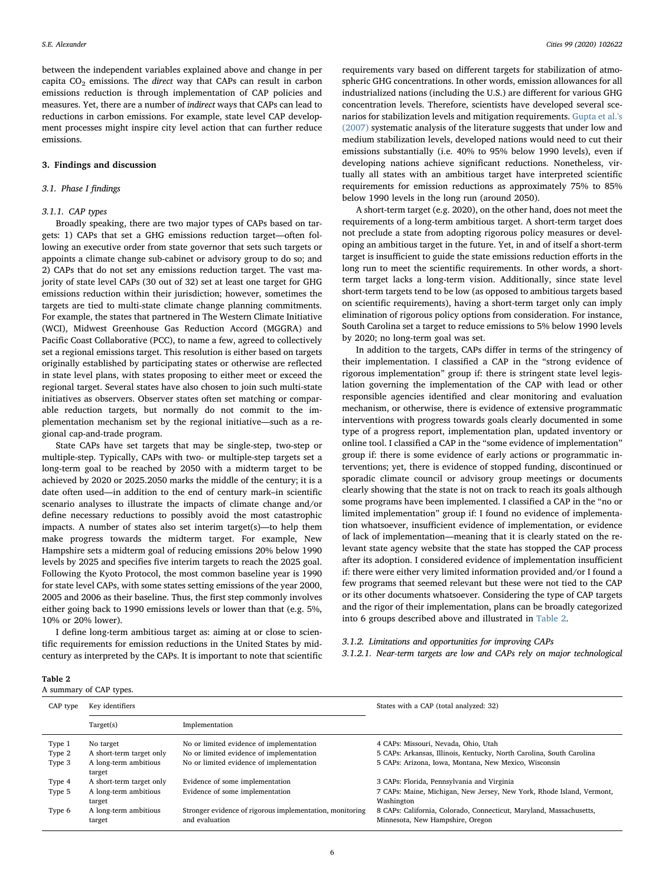between the independent variables explained above and change in per capita  $CO<sub>2</sub>$  emissions. The direct way that CAPs can result in carbon emissions reduction is through implementation of CAP policies and measures. Yet, there are a number of indirect ways that CAPs can lead to reductions in carbon emissions. For example, state level CAP development processes might inspire city level action that can further reduce emissions.

## 3. Findings and discussion

## 3.1. Phase I findings

## 3.1.1. CAP types

Broadly speaking, there are two major types of CAPs based on targets: 1) CAPs that set a GHG emissions reduction target—often following an executive order from state governor that sets such targets or appoints a climate change sub-cabinet or advisory group to do so; and 2) CAPs that do not set any emissions reduction target. The vast majority of state level CAPs (30 out of 32) set at least one target for GHG emissions reduction within their jurisdiction; however, sometimes the targets are tied to multi-state climate change planning commitments. For example, the states that partnered in The Western Climate Initiative (WCI), Midwest Greenhouse Gas Reduction Accord (MGGRA) and Pacific Coast Collaborative (PCC), to name a few, agreed to collectively set a regional emissions target. This resolution is either based on targets originally established by participating states or otherwise are reflected in state level plans, with states proposing to either meet or exceed the regional target. Several states have also chosen to join such multi-state initiatives as observers. Observer states often set matching or comparable reduction targets, but normally do not commit to the implementation mechanism set by the regional initiative—such as a regional cap-and-trade program.

State CAPs have set targets that may be single-step, two-step or multiple-step. Typically, CAPs with two- or multiple-step targets set a long-term goal to be reached by 2050 with a midterm target to be achieved by 2020 or 2025.2050 marks the middle of the century; it is a date often used—in addition to the end of century mark–in scientific scenario analyses to illustrate the impacts of climate change and/or define necessary reductions to possibly avoid the most catastrophic impacts. A number of states also set interim target(s)—to help them make progress towards the midterm target. For example, New Hampshire sets a midterm goal of reducing emissions 20% below 1990 levels by 2025 and specifies five interim targets to reach the 2025 goal. Following the Kyoto Protocol, the most common baseline year is 1990 for state level CAPs, with some states setting emissions of the year 2000, 2005 and 2006 as their baseline. Thus, the first step commonly involves either going back to 1990 emissions levels or lower than that (e.g. 5%, 10% or 20% lower).

I define long-term ambitious target as: aiming at or close to scientific requirements for emission reductions in the United States by midcentury as interpreted by the CAPs. It is important to note that scientific

requirements vary based on different targets for stabilization of atmospheric GHG concentrations. In other words, emission allowances for all industrialized nations (including the U.S.) are different for various GHG concentration levels. Therefore, scientists have developed several scenarios for stabilization levels and mitigation requirements. [Gupta et al.'s](#page-9-14) [\(2007\)](#page-9-14) systematic analysis of the literature suggests that under low and medium stabilization levels, developed nations would need to cut their emissions substantially (i.e. 40% to 95% below 1990 levels), even if developing nations achieve significant reductions. Nonetheless, virtually all states with an ambitious target have interpreted scientific requirements for emission reductions as approximately 75% to 85% below 1990 levels in the long run (around 2050).

A short-term target (e.g. 2020), on the other hand, does not meet the requirements of a long-term ambitious target. A short-term target does not preclude a state from adopting rigorous policy measures or developing an ambitious target in the future. Yet, in and of itself a short-term target is insufficient to guide the state emissions reduction efforts in the long run to meet the scientific requirements. In other words, a shortterm target lacks a long-term vision. Additionally, since state level short-term targets tend to be low (as opposed to ambitious targets based on scientific requirements), having a short-term target only can imply elimination of rigorous policy options from consideration. For instance, South Carolina set a target to reduce emissions to 5% below 1990 levels by 2020; no long-term goal was set.

In addition to the targets, CAPs differ in terms of the stringency of their implementation. I classified a CAP in the "strong evidence of rigorous implementation" group if: there is stringent state level legislation governing the implementation of the CAP with lead or other responsible agencies identified and clear monitoring and evaluation mechanism, or otherwise, there is evidence of extensive programmatic interventions with progress towards goals clearly documented in some type of a progress report, implementation plan, updated inventory or online tool. I classified a CAP in the "some evidence of implementation" group if: there is some evidence of early actions or programmatic interventions; yet, there is evidence of stopped funding, discontinued or sporadic climate council or advisory group meetings or documents clearly showing that the state is not on track to reach its goals although some programs have been implemented. I classified a CAP in the "no or limited implementation" group if: I found no evidence of implementation whatsoever, insufficient evidence of implementation, or evidence of lack of implementation—meaning that it is clearly stated on the relevant state agency website that the state has stopped the CAP process after its adoption. I considered evidence of implementation insufficient if: there were either very limited information provided and/or I found a few programs that seemed relevant but these were not tied to the CAP or its other documents whatsoever. Considering the type of CAP targets and the rigor of their implementation, plans can be broadly categorized into 6 groups described above and illustrated in [Table 2](#page-5-0).

<span id="page-5-0"></span>

| an |  |
|----|--|
|    |  |

|  | A summary of CAP types. |  |  |  |  |
|--|-------------------------|--|--|--|--|
|--|-------------------------|--|--|--|--|

| CAP type | Key identifiers                 |                                                                            | States with a CAP (total analyzed: 32)                                                                  |  |
|----------|---------------------------------|----------------------------------------------------------------------------|---------------------------------------------------------------------------------------------------------|--|
|          | Target(s)                       | Implementation                                                             |                                                                                                         |  |
| Type 1   | No target                       | No or limited evidence of implementation                                   | 4 CAPs: Missouri, Nevada, Ohio, Utah                                                                    |  |
| Type 2   | A short-term target only        | No or limited evidence of implementation                                   | 5 CAPs: Arkansas, Illinois, Kentucky, North Carolina, South Carolina                                    |  |
| Type 3   | A long-term ambitious<br>target | No or limited evidence of implementation                                   | 5 CAPs: Arizona, Iowa, Montana, New Mexico, Wisconsin                                                   |  |
| Type 4   | A short-term target only        | Evidence of some implementation                                            | 3 CAPs: Florida, Pennsylvania and Virginia                                                              |  |
| Type 5   | A long-term ambitious<br>target | Evidence of some implementation                                            | 7 CAPs: Maine, Michigan, New Jersey, New York, Rhode Island, Vermont,<br>Washington                     |  |
| Type 6   | A long-term ambitious<br>target | Stronger evidence of rigorous implementation, monitoring<br>and evaluation | 8 CAPs: California, Colorado, Connecticut, Maryland, Massachusetts,<br>Minnesota, New Hampshire, Oregon |  |

<sup>3.1.2.</sup> Limitations and opportunities for improving CAPs 3.1.2.1. Near-term targets are low and CAPs rely on major technological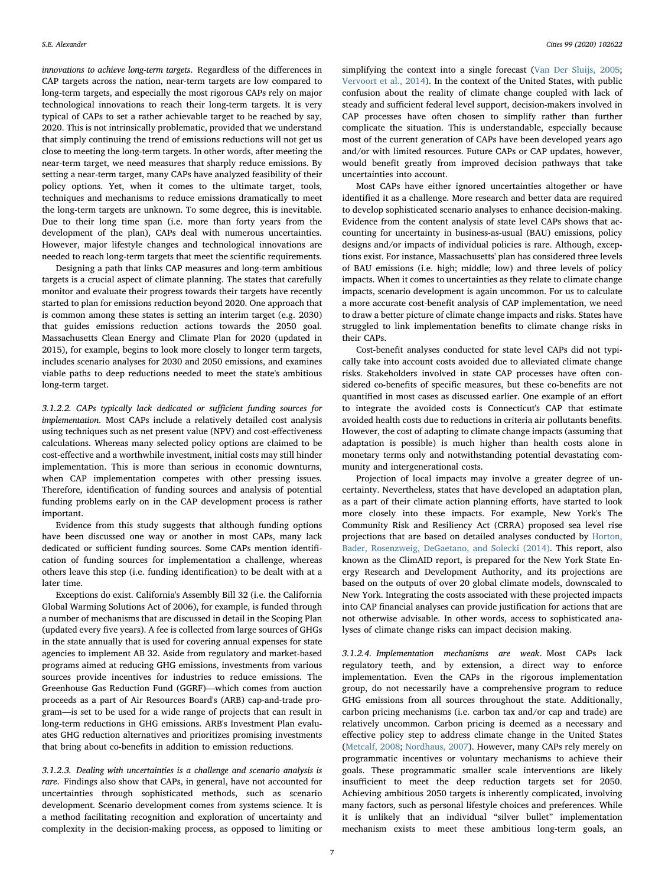innovations to achieve long-term targets. Regardless of the differences in CAP targets across the nation, near-term targets are low compared to long-term targets, and especially the most rigorous CAPs rely on major technological innovations to reach their long-term targets. It is very typical of CAPs to set a rather achievable target to be reached by say, 2020. This is not intrinsically problematic, provided that we understand that simply continuing the trend of emissions reductions will not get us close to meeting the long-term targets. In other words, after meeting the near-term target, we need measures that sharply reduce emissions. By setting a near-term target, many CAPs have analyzed feasibility of their policy options. Yet, when it comes to the ultimate target, tools, techniques and mechanisms to reduce emissions dramatically to meet the long-term targets are unknown. To some degree, this is inevitable. Due to their long time span (i.e. more than forty years from the development of the plan), CAPs deal with numerous uncertainties. However, major lifestyle changes and technological innovations are needed to reach long-term targets that meet the scientific requirements.

Designing a path that links CAP measures and long-term ambitious targets is a crucial aspect of climate planning. The states that carefully monitor and evaluate their progress towards their targets have recently started to plan for emissions reduction beyond 2020. One approach that is common among these states is setting an interim target (e.g. 2030) that guides emissions reduction actions towards the 2050 goal. Massachusetts Clean Energy and Climate Plan for 2020 (updated in 2015), for example, begins to look more closely to longer term targets, includes scenario analyses for 2030 and 2050 emissions, and examines viable paths to deep reductions needed to meet the state's ambitious long-term target.

3.1.2.2. CAPs typically lack dedicated or sufficient funding sources for implementation. Most CAPs include a relatively detailed cost analysis using techniques such as net present value (NPV) and cost-effectiveness calculations. Whereas many selected policy options are claimed to be cost-effective and a worthwhile investment, initial costs may still hinder implementation. This is more than serious in economic downturns, when CAP implementation competes with other pressing issues. Therefore, identification of funding sources and analysis of potential funding problems early on in the CAP development process is rather important.

Evidence from this study suggests that although funding options have been discussed one way or another in most CAPs, many lack dedicated or sufficient funding sources. Some CAPs mention identification of funding sources for implementation a challenge, whereas others leave this step (i.e. funding identification) to be dealt with at a later time.

Exceptions do exist. California's Assembly Bill 32 (i.e. the California Global Warming Solutions Act of 2006), for example, is funded through a number of mechanisms that are discussed in detail in the Scoping Plan (updated every five years). A fee is collected from large sources of GHGs in the state annually that is used for covering annual expenses for state agencies to implement AB 32. Aside from regulatory and market-based programs aimed at reducing GHG emissions, investments from various sources provide incentives for industries to reduce emissions. The Greenhouse Gas Reduction Fund (GGRF)—which comes from auction proceeds as a part of Air Resources Board's (ARB) cap-and-trade program—is set to be used for a wide range of projects that can result in long-term reductions in GHG emissions. ARB's Investment Plan evaluates GHG reduction alternatives and prioritizes promising investments that bring about co-benefits in addition to emission reductions.

3.1.2.3. Dealing with uncertainties is a challenge and scenario analysis is rare. Findings also show that CAPs, in general, have not accounted for uncertainties through sophisticated methods, such as scenario development. Scenario development comes from systems science. It is a method facilitating recognition and exploration of uncertainty and complexity in the decision-making process, as opposed to limiting or

simplifying the context into a single forecast ([Van Der Sluijs, 2005](#page-10-5); [Vervoort et al., 2014](#page-10-6)). In the context of the United States, with public confusion about the reality of climate change coupled with lack of steady and sufficient federal level support, decision-makers involved in CAP processes have often chosen to simplify rather than further complicate the situation. This is understandable, especially because most of the current generation of CAPs have been developed years ago and/or with limited resources. Future CAPs or CAP updates, however, would benefit greatly from improved decision pathways that take uncertainties into account.

Most CAPs have either ignored uncertainties altogether or have identified it as a challenge. More research and better data are required to develop sophisticated scenario analyses to enhance decision-making. Evidence from the content analysis of state level CAPs shows that accounting for uncertainty in business-as-usual (BAU) emissions, policy designs and/or impacts of individual policies is rare. Although, exceptions exist. For instance, Massachusetts' plan has considered three levels of BAU emissions (i.e. high; middle; low) and three levels of policy impacts. When it comes to uncertainties as they relate to climate change impacts, scenario development is again uncommon. For us to calculate a more accurate cost-benefit analysis of CAP implementation, we need to draw a better picture of climate change impacts and risks. States have struggled to link implementation benefits to climate change risks in their CAPs.

Cost-benefit analyses conducted for state level CAPs did not typically take into account costs avoided due to alleviated climate change risks. Stakeholders involved in state CAP processes have often considered co-benefits of specific measures, but these co-benefits are not quantified in most cases as discussed earlier. One example of an effort to integrate the avoided costs is Connecticut's CAP that estimate avoided health costs due to reductions in criteria air pollutants benefits. However, the cost of adapting to climate change impacts (assuming that adaptation is possible) is much higher than health costs alone in monetary terms only and notwithstanding potential devastating community and intergenerational costs.

Projection of local impacts may involve a greater degree of uncertainty. Nevertheless, states that have developed an adaptation plan, as a part of their climate action planning efforts, have started to look more closely into these impacts. For example, New York's The Community Risk and Resiliency Act (CRRA) proposed sea level rise projections that are based on detailed analyses conducted by [Horton,](#page-9-15) [Bader, Rosenzweig, DeGaetano, and Solecki \(2014\).](#page-9-15) This report, also known as the ClimAID report, is prepared for the New York State Energy Research and Development Authority, and its projections are based on the outputs of over 20 global climate models, downscaled to New York. Integrating the costs associated with these projected impacts into CAP financial analyses can provide justification for actions that are not otherwise advisable. In other words, access to sophisticated analyses of climate change risks can impact decision making.

3.1.2.4. Implementation mechanisms are weak. Most CAPs lack regulatory teeth, and by extension, a direct way to enforce implementation. Even the CAPs in the rigorous implementation group, do not necessarily have a comprehensive program to reduce GHG emissions from all sources throughout the state. Additionally, carbon pricing mechanisms (i.e. carbon tax and/or cap and trade) are relatively uncommon. Carbon pricing is deemed as a necessary and effective policy step to address climate change in the United States ([Metcalf, 2008;](#page-9-16) [Nordhaus, 2007\)](#page-9-17). However, many CAPs rely merely on programmatic incentives or voluntary mechanisms to achieve their goals. These programmatic smaller scale interventions are likely insufficient to meet the deep reduction targets set for 2050. Achieving ambitious 2050 targets is inherently complicated, involving many factors, such as personal lifestyle choices and preferences. While it is unlikely that an individual "silver bullet" implementation mechanism exists to meet these ambitious long-term goals, an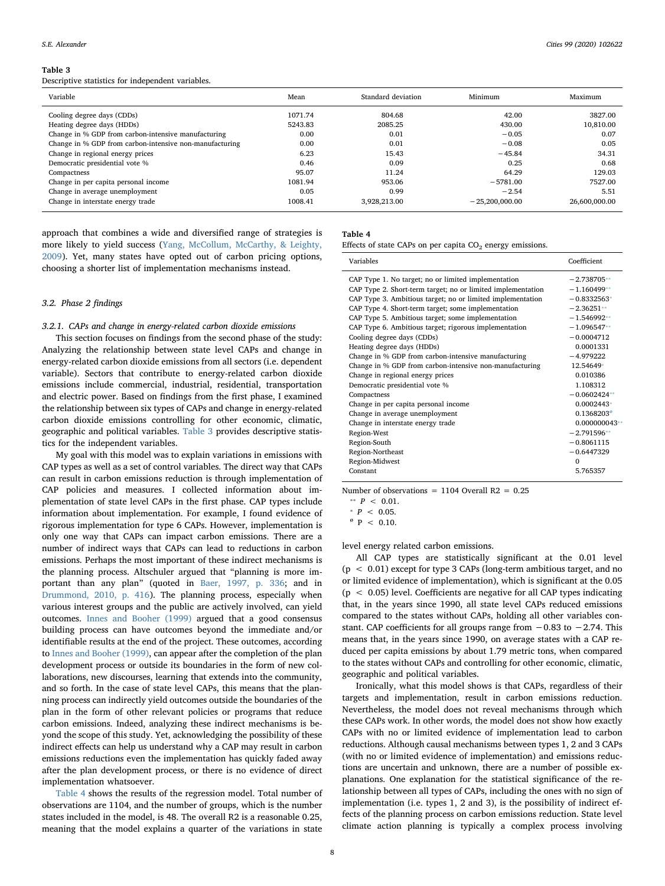#### <span id="page-7-0"></span>Table 3

Descriptive statistics for independent variables.

| Variable                                                | Mean    | Standard deviation | Minimum          | Maximum       |
|---------------------------------------------------------|---------|--------------------|------------------|---------------|
| Cooling degree days (CDDs)                              | 1071.74 | 804.68             | 42.00            | 3827.00       |
| Heating degree days (HDDs)                              | 5243.83 | 2085.25            | 430.00           | 10,810.00     |
| Change in % GDP from carbon-intensive manufacturing     | 0.00    | 0.01               | $-0.05$          | 0.07          |
| Change in % GDP from carbon-intensive non-manufacturing | 0.00    | 0.01               | $-0.08$          | 0.05          |
| Change in regional energy prices                        | 6.23    | 15.43              | $-45.84$         | 34.31         |
| Democratic presidential vote %                          | 0.46    | 0.09               | 0.25             | 0.68          |
| Compactness                                             | 95.07   | 11.24              | 64.29            | 129.03        |
| Change in per capita personal income                    | 1081.94 | 953.06             | $-5781.00$       | 7527.00       |
| Change in average unemployment                          | 0.05    | 0.99               | $-2.54$          | 5.51          |
| Change in interstate energy trade                       | 1008.41 | 3,928,213.00       | $-25,200,000.00$ | 26,600,000.00 |

approach that combines a wide and diversified range of strategies is more likely to yield success ([Yang, McCollum, McCarthy, & Leighty,](#page-10-7) [2009\)](#page-10-7). Yet, many states have opted out of carbon pricing options, choosing a shorter list of implementation mechanisms instead.

#### 3.2. Phase 2 findings

#### 3.2.1. CAPs and change in energy-related carbon dioxide emissions

This section focuses on findings from the second phase of the study: Analyzing the relationship between state level CAPs and change in energy-related carbon dioxide emissions from all sectors (i.e. dependent variable). Sectors that contribute to energy-related carbon dioxide emissions include commercial, industrial, residential, transportation and electric power. Based on findings from the first phase, I examined the relationship between six types of CAPs and change in energy-related carbon dioxide emissions controlling for other economic, climatic, geographic and political variables. [Table 3](#page-7-0) provides descriptive statistics for the independent variables.

My goal with this model was to explain variations in emissions with CAP types as well as a set of control variables. The direct way that CAPs can result in carbon emissions reduction is through implementation of CAP policies and measures. I collected information about implementation of state level CAPs in the first phase. CAP types include information about implementation. For example, I found evidence of rigorous implementation for type 6 CAPs. However, implementation is only one way that CAPs can impact carbon emissions. There are a number of indirect ways that CAPs can lead to reductions in carbon emissions. Perhaps the most important of these indirect mechanisms is the planning process. Altschuler argued that "planning is more important than any plan" (quoted in [Baer, 1997, p. 336](#page-9-8); and in [Drummond, 2010, p. 416](#page-9-7)). The planning process, especially when various interest groups and the public are actively involved, can yield outcomes. [Innes and Booher \(1999\)](#page-9-18) argued that a good consensus building process can have outcomes beyond the immediate and/or identifiable results at the end of the project. These outcomes, according to [Innes and Booher \(1999\),](#page-9-18) can appear after the completion of the plan development process or outside its boundaries in the form of new collaborations, new discourses, learning that extends into the community, and so forth. In the case of state level CAPs, this means that the planning process can indirectly yield outcomes outside the boundaries of the plan in the form of other relevant policies or programs that reduce carbon emissions. Indeed, analyzing these indirect mechanisms is beyond the scope of this study. Yet, acknowledging the possibility of these indirect effects can help us understand why a CAP may result in carbon emissions reductions even the implementation has quickly faded away after the plan development process, or there is no evidence of direct implementation whatsoever.

[Table 4](#page-7-1) shows the results of the regression model. Total number of observations are 1104, and the number of groups, which is the number states included in the model, is 48. The overall R2 is a reasonable 0.25, meaning that the model explains a quarter of the variations in state

#### <span id="page-7-1"></span>Table 4

Effects of state CAPs on per capita  $CO<sub>2</sub>$  energy emissions.

| Variables                                                   | Coefficient         |
|-------------------------------------------------------------|---------------------|
| CAP Type 1. No target; no or limited implementation         | $-2.738705**$       |
| CAP Type 2. Short-term target; no or limited implementation | $-1.160499**$       |
| CAP Type 3. Ambitious target; no or limited implementation  | $-0.8332563*$       |
| CAP Type 4. Short-term target; some implementation          | $-2.36251**$        |
| CAP Type 5. Ambitious target; some implementation           | $-1.546992**$       |
| CAP Type 6. Ambitious target; rigorous implementation       | $-1.096547**$       |
| Cooling degree days (CDDs)                                  | $-0.0004712$        |
| Heating degree days (HDDs)                                  | 0.0001331           |
| Change in % GDP from carbon-intensive manufacturing         | $-4.979222$         |
| Change in % GDP from carbon-intensive non-manufacturing     | 12.54649*           |
| Change in regional energy prices                            | 0.010386            |
| Democratic presidential vote %                              | 1.108312            |
| Compactness                                                 | $-0.0602424**$      |
| Change in per capita personal income                        | $0.0002443*$        |
| Change in average unemployment                              | $0.1368203^{\circ}$ |
| Change in interstate energy trade                           | $0.000000043$ **    |
| Region-West                                                 | $-2.791596**$       |
| Region-South                                                | $-0.8061115$        |
| Region-Northeast                                            | $-0.6447329$        |
| Region-Midwest                                              | $\Omega$            |
| Constant                                                    | 5.765357            |
|                                                             |                     |

Number of observations =  $1104$  Overall R2 = 0.25

<span id="page-7-2"></span>\*\*  $P$  < 0.01.

<span id="page-7-3"></span> $P < 0.05$ .

level energy related carbon emissions.

All CAP types are statistically significant at the 0.01 level (p < 0.01) except for type 3 CAPs (long-term ambitious target, and no or limited evidence of implementation), which is significant at the 0.05  $(p < 0.05)$  level. Coefficients are negative for all CAP types indicating that, in the years since 1990, all state level CAPs reduced emissions compared to the states without CAPs, holding all other variables constant. CAP coefficients for all groups range from −0.83 to −2.74. This means that, in the years since 1990, on average states with a CAP reduced per capita emissions by about 1.79 metric tons, when compared to the states without CAPs and controlling for other economic, climatic, geographic and political variables.

Ironically, what this model shows is that CAPs, regardless of their targets and implementation, result in carbon emissions reduction. Nevertheless, the model does not reveal mechanisms through which these CAPs work. In other words, the model does not show how exactly CAPs with no or limited evidence of implementation lead to carbon reductions. Although causal mechanisms between types 1, 2 and 3 CAPs (with no or limited evidence of implementation) and emissions reductions are uncertain and unknown, there are a number of possible explanations. One explanation for the statistical significance of the relationship between all types of CAPs, including the ones with no sign of implementation (i.e. types 1, 2 and 3), is the possibility of indirect effects of the planning process on carbon emissions reduction. State level climate action planning is typically a complex process involving

<span id="page-7-4"></span> $^{\circ}$  P < 0.10.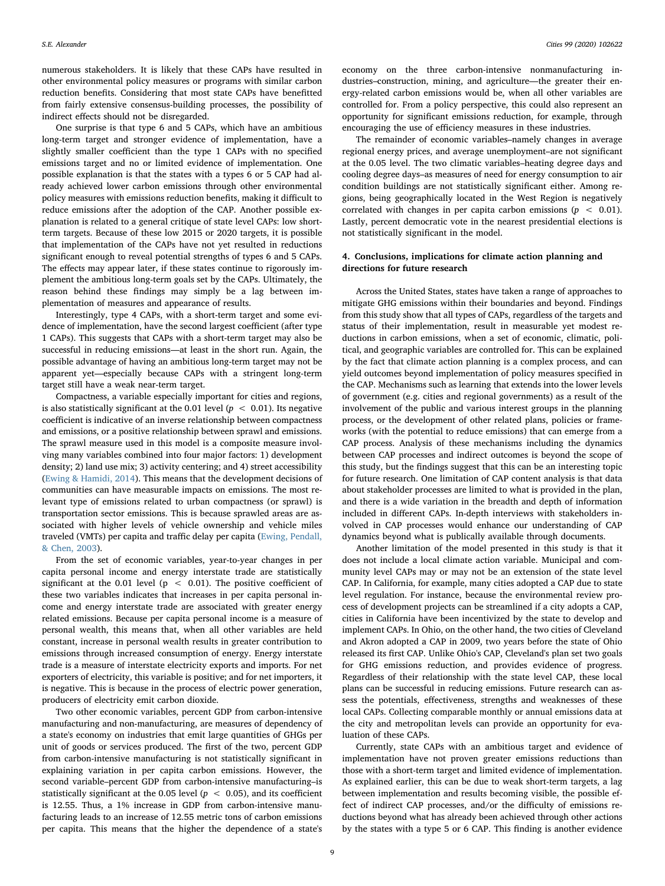numerous stakeholders. It is likely that these CAPs have resulted in other environmental policy measures or programs with similar carbon reduction benefits. Considering that most state CAPs have benefitted from fairly extensive consensus-building processes, the possibility of indirect effects should not be disregarded.

One surprise is that type 6 and 5 CAPs, which have an ambitious long-term target and stronger evidence of implementation, have a slightly smaller coefficient than the type 1 CAPs with no specified emissions target and no or limited evidence of implementation. One possible explanation is that the states with a types 6 or 5 CAP had already achieved lower carbon emissions through other environmental policy measures with emissions reduction benefits, making it difficult to reduce emissions after the adoption of the CAP. Another possible explanation is related to a general critique of state level CAPs: low shortterm targets. Because of these low 2015 or 2020 targets, it is possible that implementation of the CAPs have not yet resulted in reductions significant enough to reveal potential strengths of types 6 and 5 CAPs. The effects may appear later, if these states continue to rigorously implement the ambitious long-term goals set by the CAPs. Ultimately, the reason behind these findings may simply be a lag between implementation of measures and appearance of results.

Interestingly, type 4 CAPs, with a short-term target and some evidence of implementation, have the second largest coefficient (after type 1 CAPs). This suggests that CAPs with a short-term target may also be successful in reducing emissions—at least in the short run. Again, the possible advantage of having an ambitious long-term target may not be apparent yet—especially because CAPs with a stringent long-term target still have a weak near-term target.

Compactness, a variable especially important for cities and regions, is also statistically significant at the 0.01 level ( $p < 0.01$ ). Its negative coefficient is indicative of an inverse relationship between compactness and emissions, or a positive relationship between sprawl and emissions. The sprawl measure used in this model is a composite measure involving many variables combined into four major factors: 1) development density; 2) land use mix; 3) activity centering; and 4) street accessibility ([Ewing & Hamidi, 2014\)](#page-9-19). This means that the development decisions of communities can have measurable impacts on emissions. The most relevant type of emissions related to urban compactness (or sprawl) is transportation sector emissions. This is because sprawled areas are associated with higher levels of vehicle ownership and vehicle miles traveled (VMTs) per capita and traffic delay per capita ([Ewing, Pendall,](#page-9-20) [& Chen, 2003\)](#page-9-20).

From the set of economic variables, year-to-year changes in per capita personal income and energy interstate trade are statistically significant at the 0.01 level (p  $\,$   $\,$  0.01). The positive coefficient of these two variables indicates that increases in per capita personal income and energy interstate trade are associated with greater energy related emissions. Because per capita personal income is a measure of personal wealth, this means that, when all other variables are held constant, increase in personal wealth results in greater contribution to emissions through increased consumption of energy. Energy interstate trade is a measure of interstate electricity exports and imports. For net exporters of electricity, this variable is positive; and for net importers, it is negative. This is because in the process of electric power generation, producers of electricity emit carbon dioxide.

Two other economic variables, percent GDP from carbon-intensive manufacturing and non-manufacturing, are measures of dependency of a state's economy on industries that emit large quantities of GHGs per unit of goods or services produced. The first of the two, percent GDP from carbon-intensive manufacturing is not statistically significant in explaining variation in per capita carbon emissions. However, the second variable–percent GDP from carbon-intensive manufacturing–is statistically significant at the 0.05 level ( $p < 0.05$ ), and its coefficient is 12.55. Thus, a 1% increase in GDP from carbon-intensive manufacturing leads to an increase of 12.55 metric tons of carbon emissions per capita. This means that the higher the dependence of a state's

economy on the three carbon-intensive nonmanufacturing industries–construction, mining, and agriculture—the greater their energy-related carbon emissions would be, when all other variables are controlled for. From a policy perspective, this could also represent an opportunity for significant emissions reduction, for example, through encouraging the use of efficiency measures in these industries.

The remainder of economic variables–namely changes in average regional energy prices, and average unemployment–are not significant at the 0.05 level. The two climatic variables–heating degree days and cooling degree days–as measures of need for energy consumption to air condition buildings are not statistically significant either. Among regions, being geographically located in the West Region is negatively correlated with changes in per capita carbon emissions ( $p < 0.01$ ). Lastly, percent democratic vote in the nearest presidential elections is not statistically significant in the model.

## 4. Conclusions, implications for climate action planning and directions for future research

Across the United States, states have taken a range of approaches to mitigate GHG emissions within their boundaries and beyond. Findings from this study show that all types of CAPs, regardless of the targets and status of their implementation, result in measurable yet modest reductions in carbon emissions, when a set of economic, climatic, political, and geographic variables are controlled for. This can be explained by the fact that climate action planning is a complex process, and can yield outcomes beyond implementation of policy measures specified in the CAP. Mechanisms such as learning that extends into the lower levels of government (e.g. cities and regional governments) as a result of the involvement of the public and various interest groups in the planning process, or the development of other related plans, policies or frameworks (with the potential to reduce emissions) that can emerge from a CAP process. Analysis of these mechanisms including the dynamics between CAP processes and indirect outcomes is beyond the scope of this study, but the findings suggest that this can be an interesting topic for future research. One limitation of CAP content analysis is that data about stakeholder processes are limited to what is provided in the plan, and there is a wide variation in the breadth and depth of information included in different CAPs. In-depth interviews with stakeholders involved in CAP processes would enhance our understanding of CAP dynamics beyond what is publically available through documents.

Another limitation of the model presented in this study is that it does not include a local climate action variable. Municipal and community level CAPs may or may not be an extension of the state level CAP. In California, for example, many cities adopted a CAP due to state level regulation. For instance, because the environmental review process of development projects can be streamlined if a city adopts a CAP, cities in California have been incentivized by the state to develop and implement CAPs. In Ohio, on the other hand, the two cities of Cleveland and Akron adopted a CAP in 2009, two years before the state of Ohio released its first CAP. Unlike Ohio's CAP, Cleveland's plan set two goals for GHG emissions reduction, and provides evidence of progress. Regardless of their relationship with the state level CAP, these local plans can be successful in reducing emissions. Future research can assess the potentials, effectiveness, strengths and weaknesses of these local CAPs. Collecting comparable monthly or annual emissions data at the city and metropolitan levels can provide an opportunity for evaluation of these CAPs.

Currently, state CAPs with an ambitious target and evidence of implementation have not proven greater emissions reductions than those with a short-term target and limited evidence of implementation. As explained earlier, this can be due to weak short-term targets, a lag between implementation and results becoming visible, the possible effect of indirect CAP processes, and/or the difficulty of emissions reductions beyond what has already been achieved through other actions by the states with a type 5 or 6 CAP. This finding is another evidence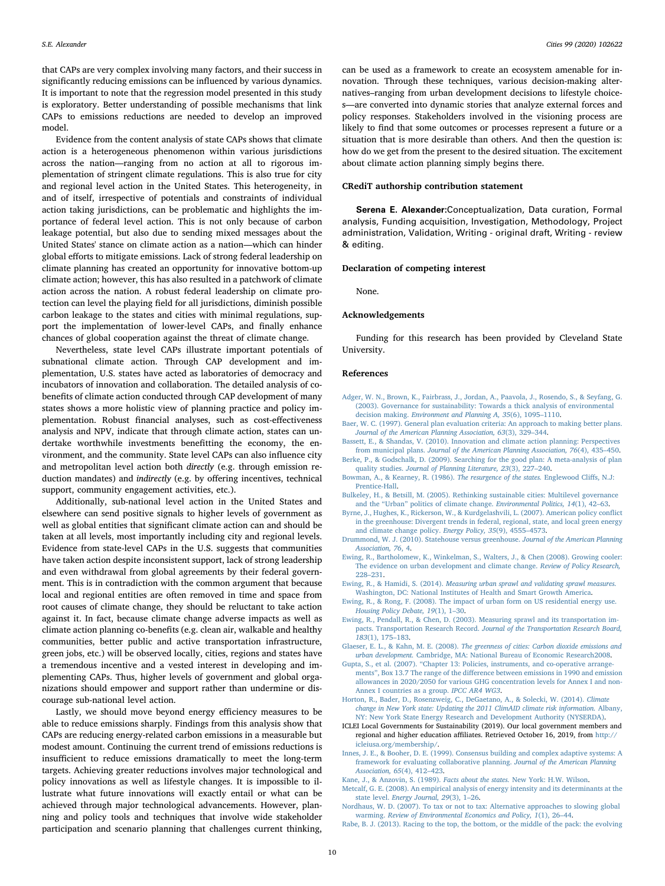that CAPs are very complex involving many factors, and their success in significantly reducing emissions can be influenced by various dynamics. It is important to note that the regression model presented in this study is exploratory. Better understanding of possible mechanisms that link CAPs to emissions reductions are needed to develop an improved model.

Evidence from the content analysis of state CAPs shows that climate action is a heterogeneous phenomenon within various jurisdictions across the nation—ranging from no action at all to rigorous implementation of stringent climate regulations. This is also true for city and regional level action in the United States. This heterogeneity, in and of itself, irrespective of potentials and constraints of individual action taking jurisdictions, can be problematic and highlights the importance of federal level action. This is not only because of carbon leakage potential, but also due to sending mixed messages about the United States' stance on climate action as a nation—which can hinder global efforts to mitigate emissions. Lack of strong federal leadership on climate planning has created an opportunity for innovative bottom-up climate action; however, this has also resulted in a patchwork of climate action across the nation. A robust federal leadership on climate protection can level the playing field for all jurisdictions, diminish possible carbon leakage to the states and cities with minimal regulations, support the implementation of lower-level CAPs, and finally enhance chances of global cooperation against the threat of climate change.

Nevertheless, state level CAPs illustrate important potentials of subnational climate action. Through CAP development and implementation, U.S. states have acted as laboratories of democracy and incubators of innovation and collaboration. The detailed analysis of cobenefits of climate action conducted through CAP development of many states shows a more holistic view of planning practice and policy implementation. Robust financial analyses, such as cost-effectiveness analysis and NPV, indicate that through climate action, states can undertake worthwhile investments benefitting the economy, the environment, and the community. State level CAPs can also influence city and metropolitan level action both directly (e.g. through emission reduction mandates) and indirectly (e.g. by offering incentives, technical support, community engagement activities, etc.).

Additionally, sub-national level action in the United States and elsewhere can send positive signals to higher levels of government as well as global entities that significant climate action can and should be taken at all levels, most importantly including city and regional levels. Evidence from state-level CAPs in the U.S. suggests that communities have taken action despite inconsistent support, lack of strong leadership and even withdrawal from global agreements by their federal government. This is in contradiction with the common argument that because local and regional entities are often removed in time and space from root causes of climate change, they should be reluctant to take action against it. In fact, because climate change adverse impacts as well as climate action planning co-benefits (e.g. clean air, walkable and healthy communities, better public and active transportation infrastructure, green jobs, etc.) will be observed locally, cities, regions and states have a tremendous incentive and a vested interest in developing and implementing CAPs. Thus, higher levels of government and global organizations should empower and support rather than undermine or discourage sub-national level action.

Lastly, we should move beyond energy efficiency measures to be able to reduce emissions sharply. Findings from this analysis show that CAPs are reducing energy-related carbon emissions in a measurable but modest amount. Continuing the current trend of emissions reductions is insufficient to reduce emissions dramatically to meet the long-term targets. Achieving greater reductions involves major technological and policy innovations as well as lifestyle changes. It is impossible to illustrate what future innovations will exactly entail or what can be achieved through major technological advancements. However, planning and policy tools and techniques that involve wide stakeholder participation and scenario planning that challenges current thinking,

can be used as a framework to create an ecosystem amenable for innovation. Through these techniques, various decision-making alternatives–ranging from urban development decisions to lifestyle choices—are converted into dynamic stories that analyze external forces and policy responses. Stakeholders involved in the visioning process are likely to find that some outcomes or processes represent a future or a situation that is more desirable than others. And then the question is: how do we get from the present to the desired situation. The excitement about climate action planning simply begins there.

#### CRediT authorship contribution statement

Serena E. Alexander:Conceptualization, Data curation, Formal analysis, Funding acquisition, Investigation, Methodology, Project administration, Validation, Writing - original draft, Writing - review & editing.

#### Declaration of competing interest

None.

#### Acknowledgements

Funding for this research has been provided by Cleveland State University.

#### References

- <span id="page-9-5"></span>[Adger, W. N., Brown, K., Fairbrass, J., Jordan, A., Paavola, J., Rosendo, S., & Seyfang, G.](http://refhub.elsevier.com/S0264-2751(19)31091-1/rf0005) [\(2003\). Governance for sustainability: Towards a thick analysis of environmental](http://refhub.elsevier.com/S0264-2751(19)31091-1/rf0005) decision making. [Environment and Planning A, 35](http://refhub.elsevier.com/S0264-2751(19)31091-1/rf0005)(6), 1095–1110.
- <span id="page-9-8"></span>[Baer, W. C. \(1997\). General plan evaluation criteria: An approach to making better plans.](http://refhub.elsevier.com/S0264-2751(19)31091-1/rf0010) [Journal of the American Planning Association, 63](http://refhub.elsevier.com/S0264-2751(19)31091-1/rf0010)(3), 329–344.
- <span id="page-9-10"></span>[Bassett, E., & Shandas, V. \(2010\). Innovation and climate action planning: Perspectives](http://refhub.elsevier.com/S0264-2751(19)31091-1/rf0015) from municipal plans. [Journal of the American Planning Association, 76](http://refhub.elsevier.com/S0264-2751(19)31091-1/rf0015)(4), 435–450.
- <span id="page-9-9"></span>[Berke, P., & Godschalk, D. \(2009\). Searching for the good plan: A meta-analysis of plan](http://refhub.elsevier.com/S0264-2751(19)31091-1/rf0020) quality studies. [Journal of Planning Literature, 23](http://refhub.elsevier.com/S0264-2751(19)31091-1/rf0020)(3), 227–240.
- <span id="page-9-1"></span>[Bowman, A., & Kearney, R. \(1986\).](http://refhub.elsevier.com/S0264-2751(19)31091-1/rf0025) The resurgence of the states. Englewood Cliffs, N.J: [Prentice-Hall](http://refhub.elsevier.com/S0264-2751(19)31091-1/rf0025).
- <span id="page-9-6"></span>[Bulkeley, H., & Betsill, M. \(2005\). Rethinking sustainable cities: Multilevel governance](http://refhub.elsevier.com/S0264-2751(19)31091-1/rf0030) and the "Urban" [politics of climate change.](http://refhub.elsevier.com/S0264-2751(19)31091-1/rf0030) Environmental Politics, 14(1), 42–63.
- <span id="page-9-3"></span>[Byrne, J., Hughes, K., Rickerson, W., & Kurdgelashvili, L. \(2007\). American policy con](http://refhub.elsevier.com/S0264-2751(19)31091-1/rf0035)flict [in the greenhouse: Divergent trends in federal, regional, state, and local green energy](http://refhub.elsevier.com/S0264-2751(19)31091-1/rf0035) [and climate change policy.](http://refhub.elsevier.com/S0264-2751(19)31091-1/rf0035) Energy Policy, 35(9), 4555–4573.
- <span id="page-9-7"></span>[Drummond, W. J. \(2010\). Statehouse versus greenhouse.](http://refhub.elsevier.com/S0264-2751(19)31091-1/rf0040) Journal of the American Planning [Association, 76](http://refhub.elsevier.com/S0264-2751(19)31091-1/rf0040), 4.
- <span id="page-9-11"></span>[Ewing, R., Bartholomew, K., Winkelman, S., Walters, J., & Chen \(2008\). Growing cooler:](http://refhub.elsevier.com/S0264-2751(19)31091-1/rf0050) [The evidence on urban development and climate change.](http://refhub.elsevier.com/S0264-2751(19)31091-1/rf0050) Review of Policy Research, 228–[231](http://refhub.elsevier.com/S0264-2751(19)31091-1/rf0050).
- <span id="page-9-19"></span>Ewing, R., & Hamidi, S. (2014). [Measuring urban sprawl and validating sprawl measures.](http://refhub.elsevier.com/S0264-2751(19)31091-1/rf0055) [Washington, DC: National Institutes of Health and Smart Growth America.](http://refhub.elsevier.com/S0264-2751(19)31091-1/rf0055)
- <span id="page-9-12"></span>[Ewing, R., & Rong, F. \(2008\). The impact of urban form on US residential energy use.](http://refhub.elsevier.com/S0264-2751(19)31091-1/rf0060) [Housing Policy Debate, 19](http://refhub.elsevier.com/S0264-2751(19)31091-1/rf0060)(1), 1–30.
- <span id="page-9-20"></span>[Ewing, R., Pendall, R., & Chen, D. \(2003\). Measuring sprawl and its transportation im](http://refhub.elsevier.com/S0264-2751(19)31091-1/rf2900)pacts. Transportation Research Record. [Journal of the Transportation Research Board,](http://refhub.elsevier.com/S0264-2751(19)31091-1/rf2900) 183[\(1\), 175](http://refhub.elsevier.com/S0264-2751(19)31091-1/rf2900)–183.
- <span id="page-9-13"></span>Glaeser, E. L., & Kahn, M. E. (2008). [The greenness of cities: Carbon dioxide emissions and](http://refhub.elsevier.com/S0264-2751(19)31091-1/rf0065) urban development. [Cambridge, MA: National Bureau of Economic Research2008.](http://refhub.elsevier.com/S0264-2751(19)31091-1/rf0065)
- <span id="page-9-14"></span>Gupta, S., et al. (2007). "[Chapter 13: Policies, instruments, and co-operative arrange](http://refhub.elsevier.com/S0264-2751(19)31091-1/rf0070)ments", Box 13.7 The range of the diff[erence between emissions in 1990 and emission](http://refhub.elsevier.com/S0264-2751(19)31091-1/rf0070) [allowances in 2020/2050 for various GHG concentration levels for Annex I and non-](http://refhub.elsevier.com/S0264-2751(19)31091-1/rf0070)[Annex I countries as a group.](http://refhub.elsevier.com/S0264-2751(19)31091-1/rf0070) IPCC AR4 WG3.
- <span id="page-9-15"></span>Horton, [R., Bader, D., Rosenzweig, C., DeGaetano, A., & Solecki, W. \(2014\).](http://refhub.elsevier.com/S0264-2751(19)31091-1/rf0075) Climate [change in New York state: Updating the 2011 ClimAID climate risk information.](http://refhub.elsevier.com/S0264-2751(19)31091-1/rf0075) Albany, [NY: New York State Energy Research and Development Authority \(NYSERDA\)](http://refhub.elsevier.com/S0264-2751(19)31091-1/rf0075).
- <span id="page-9-4"></span>ICLEI Local Governments for Sustainability (2019). Our local government members and regional and higher education affiliates. Retrieved October 16, 2019, from [http://](http://icleiusa.org/membership/) [icleiusa.org/membership/.](http://icleiusa.org/membership/)
- <span id="page-9-18"></span>[Innes, J. E., & Booher, D. E. \(1999\). Consensus building and complex adaptive systems: A](http://refhub.elsevier.com/S0264-2751(19)31091-1/rf0085) [framework for evaluating collaborative planning.](http://refhub.elsevier.com/S0264-2751(19)31091-1/rf0085) Journal of the American Planning [Association, 65](http://refhub.elsevier.com/S0264-2751(19)31091-1/rf0085)(4), 412–423.
- <span id="page-9-2"></span>[Kane, J., & Anzovin, S. \(1989\).](http://refhub.elsevier.com/S0264-2751(19)31091-1/rf0090) Facts about the states. New York: H.W. Wilson.
- <span id="page-9-16"></span>[Metcalf, G. E. \(2008\). An empirical analysis of energy intensity and its determinants at the](http://refhub.elsevier.com/S0264-2751(19)31091-1/rf0095) state level. [Energy Journal, 29](http://refhub.elsevier.com/S0264-2751(19)31091-1/rf0095)(3), 1–26.
- <span id="page-9-17"></span>[Nordhaus, W. D. \(2007\). To tax or not to tax: Alternative approaches to slowing global](http://refhub.elsevier.com/S0264-2751(19)31091-1/rf0100) warming. [Review of Environmental Economics and Policy, 1](http://refhub.elsevier.com/S0264-2751(19)31091-1/rf0100)(1), 26–44.
- <span id="page-9-0"></span>[Rabe, B. J. \(2013\). Racing to the top, the bottom, or the middle of the pack: the evolving](http://refhub.elsevier.com/S0264-2751(19)31091-1/rf0105)